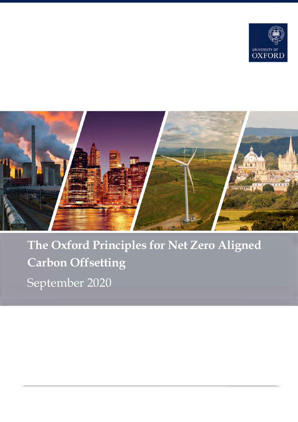



# **The Oxford Principles for Net Zero Aligned Carbon Offsetting** September 2020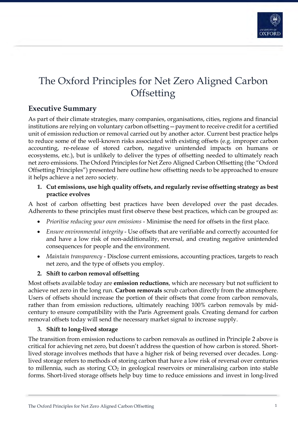

# The Oxford Principles for Net Zero Aligned Carbon **Offsetting**

# **Executive Summary**

As part of their climate strategies, many companies, organisations, cities, regions and financial institutions are relying on voluntary carbon offsetting—payment to receive credit for a certified unit of emission reduction or removal carried out by another actor. Current best practice helps to reduce some of the well-known risks associated with existing offsets (e.g. improper carbon accounting, re-release of stored carbon, negative unintended impacts on humans or ecosystems, etc.), but is unlikely to deliver the types of offsetting needed to ultimately reach net zero emissions. The Oxford Principles for Net Zero Aligned Carbon Offsetting (the "Oxford Offsetting Principles") presented here outline how offsetting needs to be approached to ensure it helps achieve a net zero society.

#### **1. Cut emissions, use high quality offsets, and regularly revise offsetting strategy as best practice evolves**

A host of carbon offsetting best practices have been developed over the past decades. Adherents to these principles must first observe these best practices, which can be grouped as:

- *Prioritise reducing your own emissions* Minimise the need for offsets in the first place.
- *Ensure environmental integrity* Use offsets that are verifiable and correctly accounted for and have a low risk of non-additionality, reversal, and creating negative unintended consequences for people and the environment.
- *Maintain transparency* Disclose current emissions, accounting practices, targets to reach net zero, and the type of offsets you employ.

### **2. Shift to carbon removal offsetting**

Most offsets available today are **emission reductions**, which are necessary but not sufficient to achieve net zero in the long run. **Carbon removals** scrub carbon directly from the atmosphere. Users of offsets should increase the portion of their offsets that come from carbon removals, rather than from emission reductions, ultimately reaching 100% carbon removals by midcentury to ensure compatibility with the Paris Agreement goals. Creating demand for carbon removal offsets today will send the necessary market signal to increase supply.

### **3. Shift to long-lived storage**

The transition from emission reductions to carbon removals as outlined in Principle 2 above is critical for achieving net zero, but doesn't address the question of how carbon is stored. Shortlived storage involves methods that have a higher risk of being reversed over decades. Longlived storage refers to methods of storing carbon that have a low risk of reversal over centuries to millennia, such as storing  $CO<sub>2</sub>$  in geological reservoirs or mineralising carbon into stable forms. Short-lived storage offsets help buy time to reduce emissions and invest in long-lived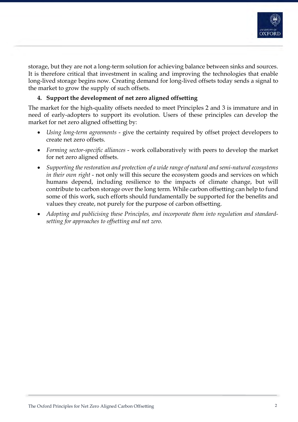

storage, but they are not a long-term solution for achieving balance between sinks and sources. It is therefore critical that investment in scaling and improving the technologies that enable long-lived storage begins now. Creating demand for long-lived offsets today sends a signal to the market to grow the supply of such offsets.

## **4. Support the development of net zero aligned offsetting**

The market for the high-quality offsets needed to meet Principles 2 and 3 is immature and in need of early-adopters to support its evolution. Users of these principles can develop the market for net zero aligned offsetting by:

- *Using long-term agreements* give the certainty required by offset project developers to create net zero offsets.
- *Forming sector-specific alliances* work collaboratively with peers to develop the market for net zero aligned offsets.
- *Supporting the restoration and protection of a wide range of natural and semi-natural ecosystems in their own right* - not only will this secure the ecosystem goods and services on which humans depend, including resilience to the impacts of climate change, but will contribute to carbon storage over the long term. While carbon offsetting can help to fund some of this work, such efforts should fundamentally be supported for the benefits and values they create, not purely for the purpose of carbon offsetting.
- *Adopting and publicising these Principles, and incorporate them into regulation and standardsetting for approaches to offsetting and net zero.*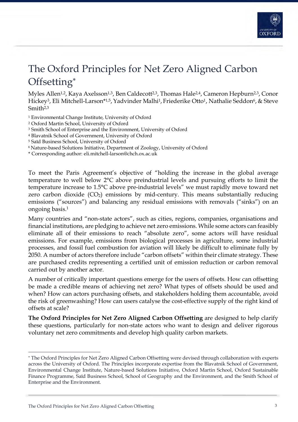

# The Oxford Principles for Net Zero Aligned Carbon Offsetting\*

Myles Allen<sup>1,2</sup>, Kaya Axelsson<sup>1,3</sup>, Ben Caldecott<sup>2,3</sup>, Thomas Hale<sup>2,4</sup>, Cameron Hepburn<sup>2,3</sup>, Conor Hickey<sup>3</sup>, Eli Mitchell-Larson<sup>\*1,5</sup>, Yadvinder Malhi<sup>1</sup>, Friederike Otto<sup>1</sup>, Nathalie Seddon<sup>6</sup>, & Steve Smith2,3

<sup>1</sup> Environmental Change Institute, University of Oxford

<sup>2</sup> Oxford Martin School, University of Oxford

<sup>3</sup> Smith School of Enterprise and the Environment, University of Oxford

<sup>4</sup> Blavatnik School of Government, University of Oxford

<sup>5</sup> Saïd Business School, University of Oxford

6 Nature-based Solutions Initiative, Department of Zoology, University of Oxford

\* Corresponding author: eli.mitchell-larson@chch.ox.ac.uk

To meet the Paris Agreement's objective of "holding the increase in the global average temperature to well below 2°C above preindustrial levels and pursuing efforts to limit the temperature increase to 1.5°C above pre-industrial levels" we must rapidly move toward net zero carbon dioxide  $(CO_2)$  emissions by mid-century. This means substantially reducing emissions ("sources") and balancing any residual emissions with removals ("sinks") on an ongoing basis.1

Many countries and "non-state actors", such as cities, regions, companies, organisations and financial institutions, are pledging to achieve net zero emissions. While some actors can feasibly eliminate all of their emissions to reach "absolute zero", some actors will have residual emissions. For example, emissions from biological processes in agriculture, some industrial processes, and fossil fuel combustion for aviation will likely be difficult to eliminate fully by 2050. A number of actors therefore include "carbon offsets" within their climate strategy. These are purchased credits representing a certified unit of emission reduction or carbon removal carried out by another actor.

A number of critically important questions emerge for the users of offsets. How can offsetting be made a credible means of achieving net zero? What types of offsets should be used and when? How can actors purchasing offsets, and stakeholders holding them accountable, avoid the risk of greenwashing? How can users catalyse the cost-effective supply of the right kind of offsets at scale?

**The Oxford Principles for Net Zero Aligned Carbon Offsetting** are designed to help clarify these questions, particularly for non-state actors who want to design and deliver rigorous voluntary net zero commitments and develop high quality carbon markets.

1

<sup>\*</sup> The Oxford Principles for Net Zero Aligned Carbon Offsetting were devised through collaboration with experts across the University of Oxford. The Principles incorporate expertise from the Blavatnik School of Government, Environmental Change Institute, Nature-based Solutions Initiative, Oxford Martin School, Oxford Sustainable Finance Programme, Saïd Business School, School of Geography and the Environment, and the Smith School of Enterprise and the Environment.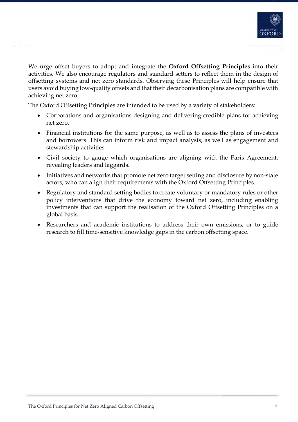

We urge offset buyers to adopt and integrate the **Oxford Offsetting Principles** into their activities. We also encourage regulators and standard setters to reflect them in the design of offsetting systems and net zero standards. Observing these Principles will help ensure that users avoid buying low-quality offsets and that their decarbonisation plans are compatible with achieving net zero.

The Oxford Offsetting Principles are intended to be used by a variety of stakeholders:

- Corporations and organisations designing and delivering credible plans for achieving net zero.
- Financial institutions for the same purpose, as well as to assess the plans of investees and borrowers. This can inform risk and impact analysis, as well as engagement and stewardship activities.
- Civil society to gauge which organisations are aligning with the Paris Agreement, revealing leaders and laggards.
- Initiatives and networks that promote net zero target setting and disclosure by non-state actors, who can align their requirements with the Oxford Offsetting Principles.
- Regulatory and standard setting bodies to create voluntary or mandatory rules or other policy interventions that drive the economy toward net zero, including enabling investments that can support the realisation of the Oxford Offsetting Principles on a global basis.
- Researchers and academic institutions to address their own emissions, or to guide research to fill time-sensitive knowledge gaps in the carbon offsetting space.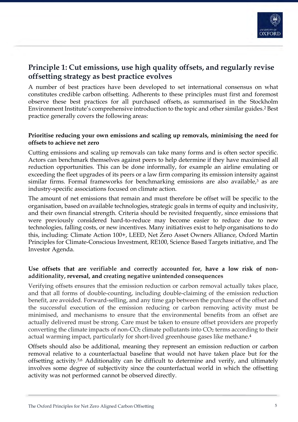

## **Principle 1: Cut emissions, use high quality offsets, and regularly revise offsetting strategy as best practice evolves**

A number of best practices have been developed to set international consensus on what constitutes credible carbon offsetting. Adherents to these principles must first and foremost observe these best practices for all purchased offsets, as summarised in the Stockholm Environment Institute's comprehensive introduction to the topic and other similar guides.2 Best practice generally covers the following areas:

#### **Prioritise reducing your own emissions and scaling up removals, minimising the need for offsets to achieve net zero**

Cutting emissions and scaling up removals can take many forms and is often sector specific. Actors can benchmark themselves against peers to help determine if they have maximised all reduction opportunities. This can be done informally, for example an airline emulating or exceeding the fleet upgrades of its peers or a law firm comparing its emission intensity against similar firms. Formal frameworks for benchmarking emissions are also available, $3$  as are industry-specific associations focused on climate action.

The amount of net emissions that remain and must therefore be offset will be specific to the organisation, based on available technologies, strategic goals in terms of equity and inclusivity, and their own financial strength. Criteria should be revisited frequently, since emissions that were previously considered hard-to-reduce may become easier to reduce due to new technologies, falling costs, or new incentives. Many initiatives exist to help organisations to do this, including: Climate Action 100+, LEED, Net Zero Asset Owners Alliance, Oxford Martin Principles for Climate-Conscious Investment, RE100, Science Based Targets initiative, and The Investor Agenda.

### **Use offsets that are verifiable and correctly accounted for, have a low risk of nonadditionality, reversal, and creating negative unintended consequences**

Verifying offsets ensures that the emission reduction or carbon removal actually takes place, and that all forms of double-counting, including double-claiming of the emission reduction benefit, are avoided. Forward-selling, and any time gap between the purchase of the offset and the successful execution of the emission reducing or carbon removing activity must be minimised, and mechanisms to ensure that the environmental benefits from an offset are actually delivered must be strong. Care must be taken to ensure offset providers are properly converting the climate impacts of non- $CO<sub>2</sub>$  climate pollutants into  $CO<sub>2</sub>$  terms according to their actual warming impact, particularly for short-lived greenhouse gases like methane.4

Offsets should also be additional, meaning they represent an emission reduction or carbon removal relative to a counterfactual baseline that would not have taken place but for the offsetting activity.5,6 Additionality can be difficult to determine and verify, and ultimately involves some degree of subjectivity since the counterfactual world in which the offsetting activity was not performed cannot be observed directly.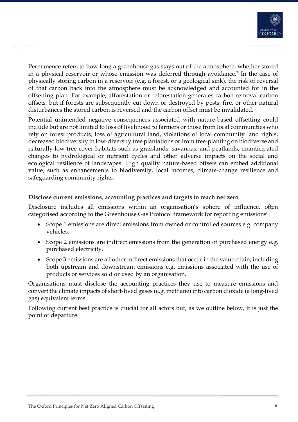

Permanence refers to how long a greenhouse gas stays out of the atmosphere, whether stored in a physical reservoir or whose emission was deferred through avoidance.7 In the case of physically storing carbon in a reservoir (e.g. a forest, or a geological sink), the risk of reversal of that carbon back into the atmosphere must be acknowledged and accounted for in the offsetting plan. For example, afforestation or reforestation generates carbon removal carbon offsets, but if forests are subsequently cut down or destroyed by pests, fire, or other natural disturbances the stored carbon is reversed and the carbon offset must be invalidated.

Potential unintended negative consequences associated with nature-based offsetting could include but are not limited to loss of livelihood to farmers or those from local communities who rely on forest products, loss of agricultural land, violations of local community land rights, decreased biodiversity in low-diversity tree plantations or from tree-planting on biodiverse and naturally low tree cover habitats such as grasslands, savannas, and peatlands, unanticipated changes to hydrological or nutrient cycles and other adverse impacts on the social and ecological resilience of landscapes. High quality nature-based offsets can embed additional value, such as enhancements to biodiversity, local incomes, climate-change resilience and safeguarding community rights.

#### **Disclose current emissions, accounting practices and targets to reach net zero**

Disclosure includes all emissions within an organisation's sphere of influence, often categorised according to the Greenhouse Gas Protocol framework for reporting emissions<sup>8</sup>:

- Scope 1 emissions are direct emissions from owned or controlled sources e.g. company vehicles.
- Scope 2 emissions are indirect emissions from the generation of purchased energy e.g. purchased electricity.
- Scope 3 emissions are all other indirect emissions that occur in the value chain, including both upstream and downstream emissions e.g. emissions associated with the use of products or services sold or used by an organisation.

Organisations must disclose the accounting practices they use to measure emissions and convert the climate impacts of short-lived gases (e.g. methane) into carbon dioxide (a long-lived gas) equivalent terms.

Following current best practice is crucial for all actors but, as we outline below, it is just the point of departure.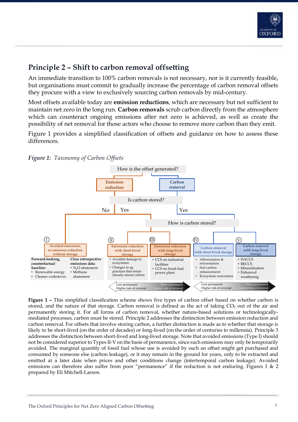

# **Principle 2 – Shift to carbon removal offsetting**

An immediate transition to 100% carbon removals is not necessary, nor is it currently feasible, but organisations must commit to gradually increase the percentage of carbon removal offsets they procure with a view to exclusively sourcing carbon removals by mid-century.

Most offsets available today are **emission reductions**, which are necessary but not sufficient to maintain net zero in the long run. **Carbon removals** scrub carbon directly from the atmosphere which can counteract ongoing emissions after net zero is achieved, as well as create the possibility of net removal for those actors who choose to remove more carbon than they emit.

Figure 1 provides a simplified classification of offsets and guidance on how to assess these differences.





**Figure 1 –** This simplified classification scheme shows five types of carbon offset based on whether carbon is stored, and the nature of that storage. Carbon removal is defined as the act of taking  $CO<sub>2</sub>$  out of the air and permanently storing it. For all forms of carbon removal, whether nature-based solutions or technologicallymediated processes, carbon must be stored. Principle 2 addresses the distinction between emission reduction and carbon removal. For offsets that involve storing carbon, a further distinction is made as to whether that storage is likely to be short-lived (on the order of decades) or long-lived (on the order of centuries to millennia). Principle 3 addresses the distinction between short-lived and long-lived storage. Note that avoided emissions (Type I) should not be considered superior to Types II-V on the basis of permanence, since such emissions may only be temporarily avoided. The marginal quantity of fossil fuel whose use is avoided by such an offset might get purchased and consumed by someone else (carbon leakage), or it may remain in the ground for years, only to be extracted and emitted at a later date when prices and other conditions change (intertemporal carbon leakage). Avoided emissions can therefore also suffer from poor "permanence" if the reduction is not enduring. Figures 1 & 2 prepared by Eli Mitchell-Larson.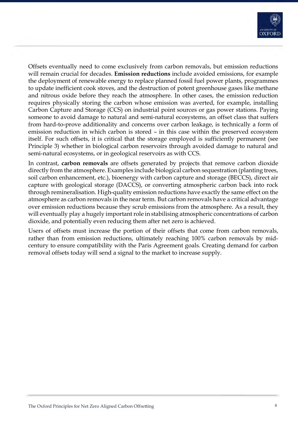

Offsets eventually need to come exclusively from carbon removals, but emission reductions will remain crucial for decades. **Emission reductions** include avoided emissions, for example the deployment of renewable energy to replace planned fossil fuel power plants, programmes to update inefficient cook stoves, and the destruction of potent greenhouse gases like methane and nitrous oxide before they reach the atmosphere. In other cases, the emission reduction requires physically storing the carbon whose emission was averted, for example, installing Carbon Capture and Storage (CCS) on industrial point sources or gas power stations. Paying someone to avoid damage to natural and semi-natural ecosystems, an offset class that suffers from hard-to-prove additionality and concerns over carbon leakage, is technically a form of emission reduction in which carbon is stored – in this case within the preserved ecosystem itself. For such offsets, it is critical that the storage employed is sufficiently permanent (see Principle 3) whether in biological carbon reservoirs through avoided damage to natural and semi-natural ecosystems, or in geological reservoirs as with CCS.

In contrast, **carbon removals** are offsets generated by projects that remove carbon dioxide directly from the atmosphere. Examples include biological carbon sequestration (planting trees, soil carbon enhancement, etc.), bioenergy with carbon capture and storage (BECCS), direct air capture with geological storage (DACCS), or converting atmospheric carbon back into rock through remineralisation. High-quality emission reductions have exactly the same effect on the atmosphere as carbon removals in the near term. But carbon removals have a critical advantage over emission reductions because they scrub emissions from the atmosphere. As a result, they will eventually play a hugely important role in stabilising atmospheric concentrations of carbon dioxide, and potentially even reducing them after net zero is achieved.

Users of offsets must increase the portion of their offsets that come from carbon removals, rather than from emission reductions, ultimately reaching 100% carbon removals by midcentury to ensure compatibility with the Paris Agreement goals. Creating demand for carbon removal offsets today will send a signal to the market to increase supply.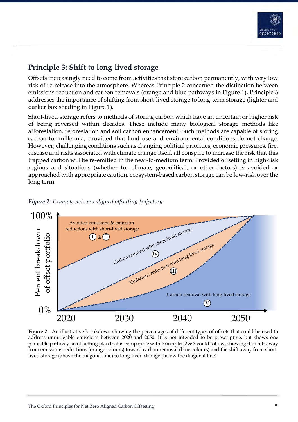

# **Principle 3: Shift to long-lived storage**

Offsets increasingly need to come from activities that store carbon permanently, with very low risk of re-release into the atmosphere. Whereas Principle 2 concerned the distinction between emissions reduction and carbon removals (orange and blue pathways in Figure 1), Principle 3 addresses the importance of shifting from short-lived storage to long-term storage (lighter and darker box shading in Figure 1).

Short-lived storage refers to methods of storing carbon which have an uncertain or higher risk of being reversed within decades. These include many biological storage methods like afforestation, reforestation and soil carbon enhancement. Such methods are capable of storing carbon for millennia, provided that land use and environmental conditions do not change. However, challenging conditions such as changing political priorities, economic pressures, fire, disease and risks associated with climate change itself, all conspire to increase the risk that this trapped carbon will be re-emitted in the near-to-medium term. Provided offsetting in high-risk regions and situations (whether for climate, geopolitical, or other factors) is avoided or approached with appropriate caution, ecosystem-based carbon storage can be low-risk over the long term.





**Figure 2** - An illustrative breakdown showing the percentages of different types of offsets that could be used to address unmitigable emissions between 2020 and 2050. It is not intended to be prescriptive, but shows one plausible pathway an offsetting plan that is compatible with Principles 2 & 3 could follow, showing the shift away from emissions reductions (orange colours) toward carbon removal (blue colours) and the shift away from shortlived storage (above the diagonal line) to long-lived storage (below the diagonal line).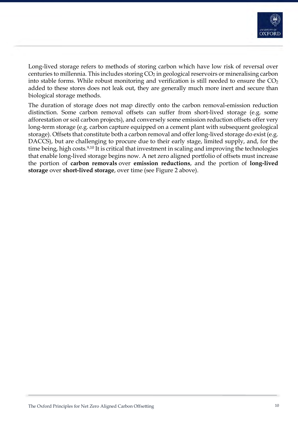

Long-lived storage refers to methods of storing carbon which have low risk of reversal over centuries to millennia. This includes storing  $CO<sub>2</sub>$  in geological reservoirs or mineralising carbon into stable forms. While robust monitoring and verification is still needed to ensure the  $CO<sub>2</sub>$ added to these stores does not leak out, they are generally much more inert and secure than biological storage methods.

The duration of storage does not map directly onto the carbon removal-emission reduction distinction. Some carbon removal offsets can suffer from short-lived storage (e.g. some afforestation or soil carbon projects), and conversely some emission reduction offsets offer very long-term storage (e.g. carbon capture equipped on a cement plant with subsequent geological storage). Offsets that constitute both a carbon removal and offer long-lived storage do exist (e.g. DACCS), but are challenging to procure due to their early stage, limited supply, and, for the time being, high costs.<sup>9,10</sup> It is critical that investment in scaling and improving the technologies that enable long-lived storage begins now. A net zero aligned portfolio of offsets must increase the portion of **carbon removals** over **emission reductions**, and the portion of **long-lived storage** over **short-lived storage**, over time (see Figure 2 above).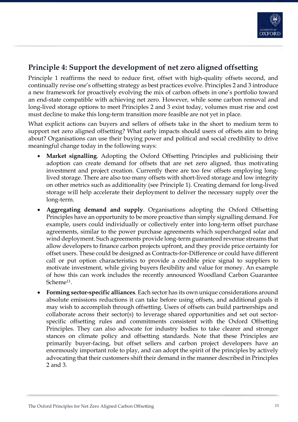

## **Principle 4: Support the development of net zero aligned offsetting**

Principle 1 reaffirms the need to reduce first, offset with high-quality offsets second, and continually revise one's offsetting strategy as best practices evolve. Principles 2 and 3 introduce a new framework for proactively evolving the mix of carbon offsets in one's portfolio toward an end-state compatible with achieving net zero. However, while some carbon removal and long-lived storage options to meet Principles 2 and 3 exist today, volumes must rise and cost must decline to make this long-term transition more feasible are not yet in place.

What explicit actions can buyers and sellers of offsets take in the short to medium term to support net zero aligned offsetting? What early impacts should users of offsets aim to bring about? Organisations can use their buying power and political and social credibility to drive meaningful change today in the following ways:

- **Market signalling.** Adopting the Oxford Offsetting Principles and publicising their adoption can create demand for offsets that are net zero aligned, thus motivating investment and project creation. Currently there are too few offsets employing longlived storage. There are also too many offsets with short-lived storage and low integrity on other metrics such as additionality (see Principle 1). Creating demand for long-lived storage will help accelerate their deployment to deliver the necessary supply over the long-term.
- **Aggregating demand and supply**. Organisations adopting the Oxford Offsetting Principles have an opportunity to be more proactive than simply signalling demand. For example, users could individually or collectively enter into long-term offset purchase agreements, similar to the power purchase agreements which supercharged solar and wind deployment. Such agreements provide long-term guaranteed revenue streams that allow developers to finance carbon projects upfront, and they provide price certainty for offset users. These could be designed as Contracts-for-Difference or could have different call or put option characteristics to provide a credible price signal to suppliers to motivate investment, while giving buyers flexibility and value for money. An example of how this can work includes the recently announced Woodland Carbon Guarantee Scheme<sup>11</sup>.
- **Forming sector-specific alliances**. Each sector has its own unique considerations around absolute emissions reductions it can take before using offsets, and additional goals it may wish to accomplish through offsetting. Users of offsets can build partnerships and collaborate across their sector(s) to leverage shared opportunities and set out sectorspecific offsetting rules and commitments consistent with the Oxford Offsetting Principles. They can also advocate for industry bodies to take clearer and stronger stances on climate policy and offsetting standards. Note that these Principles are primarily buyer-facing, but offset sellers and carbon project developers have an enormously important role to play, and can adopt the spirit of the principles by actively advocating that their customers shift their demand in the manner described in Principles 2 and 3.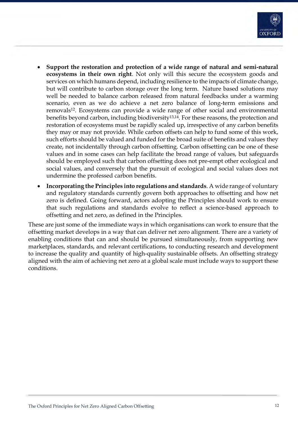

- **Support the restoration and protection of a wide range of natural and semi-natural ecosystems in their own right**. Not only will this secure the ecosystem goods and services on which humans depend, including resilience to the impacts of climate change, but will contribute to carbon storage over the long term. Nature based solutions may well be needed to balance carbon released from natural feedbacks under a warming scenario, even as we do achieve a net zero balance of long-term emissions and removals12. Ecosystems can provide a wide range of other social and environmental benefits beyond carbon, including biodiversity13,14. For these reasons, the protection and restoration of ecosystems must be rapidly scaled up, irrespective of any carbon benefits they may or may not provide. While carbon offsets can help to fund some of this work, such efforts should be valued and funded for the broad suite of benefits and values they create, not incidentally through carbon offsetting. Carbon offsetting can be one of these values and in some cases can help facilitate the broad range of values, but safeguards should be employed such that carbon offsetting does not pre-empt other ecological and social values, and conversely that the pursuit of ecological and social values does not undermine the professed carbon benefits.
- **Incorporating the Principles into regulations and standards**. A wide range of voluntary and regulatory standards currently govern both approaches to offsetting and how net zero is defined. Going forward, actors adopting the Principles should work to ensure that such regulations and standards evolve to reflect a science-based approach to offsetting and net zero, as defined in the Principles.

These are just some of the immediate ways in which organisations can work to ensure that the offsetting market develops in a way that can deliver net zero alignment. There are a variety of enabling conditions that can and should be pursued simultaneously, from supporting new marketplaces, standards, and relevant certifications, to conducting research and development to increase the quality and quantity of high-quality sustainable offsets. An offsetting strategy aligned with the aim of achieving net zero at a global scale must include ways to support these conditions.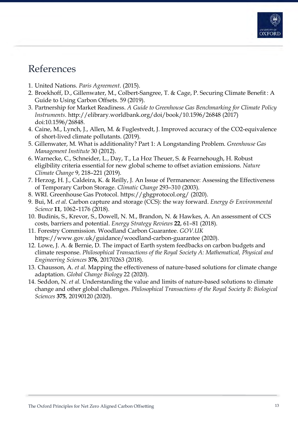

# References

- 1. United Nations. *Paris Agreement*. (2015).
- 2. Broekhoff, D., Gillenwater, M., Colbert-Sangree, T. & Cage, P. Securing Climate Benefit : A Guide to Using Carbon Offsets. 59 (2019).
- 3. Partnership for Market Readiness. *A Guide to Greenhouse Gas Benchmarking for Climate Policy Instruments*. http://elibrary.worldbank.org/doi/book/10.1596/26848 (2017) doi:10.1596/26848.
- 4. Caine, M., Lynch, J., Allen, M. & Fuglestvedt, J. Improved accuracy of the CO2-equivalence of short-lived climate pollutants. (2019).
- 5. Gillenwater, M. What is additionality? Part 1: A Longstanding Problem. *Greenhouse Gas Management Institute* 30 (2012).
- 6. Warnecke, C., Schneider, L., Day, T., La Hoz Theuer, S. & Fearnehough, H. Robust eligibility criteria essential for new global scheme to offset aviation emissions. *Nature Climate Change* 9, 218–221 (2019).
- 7. Herzog, H. J., Caldeira, K. & Reilly, J. An Issue of Permanence: Assessing the Effectiveness of Temporary Carbon Storage. *Climatic Change* 293–310 (2003).
- 8. WRI. Greenhouse Gas Protocol. https://ghgprotocol.org/ (2020).
- 9. Bui, M. *et al.* Carbon capture and storage (CCS): the way forward. *Energy & Environmental Science* **11**, 1062–1176 (2018).
- 10. Budinis, S., Krevor, S., Dowell, N. M., Brandon, N. & Hawkes, A. An assessment of CCS costs, barriers and potential. *Energy Strategy Reviews* **22**, 61–81 (2018).
- 11. Forestry Commission. Woodland Carbon Guarantee. *GOV.UK* https://www.gov.uk/guidance/woodland-carbon-guarantee (2020).
- 12. Lowe, J. A. & Bernie, D. The impact of Earth system feedbacks on carbon budgets and climate response. *Philosophical Transactions of the Royal Society A: Mathematical, Physical and Engineering Sciences* **376**, 20170263 (2018).
- 13. Chausson, A. *et al.* Mapping the effectiveness of nature-based solutions for climate change adaptation. *Global Change Biology* 22 (2020).
- 14. Seddon, N. *et al.* Understanding the value and limits of nature-based solutions to climate change and other global challenges. *Philosophical Transactions of the Royal Society B: Biological Sciences* **375**, 20190120 (2020).